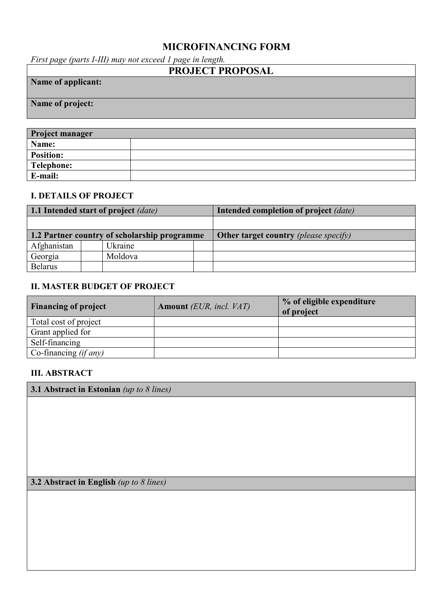# **MICROFINANCING FORM**

*First page (parts I-III) may not exceed 1 page in length.*

| <b>PROJECT PROPOSAL</b> |
|-------------------------|
| Name of applicant:      |
|                         |
| Name of project:        |
|                         |

| <b>Project manager</b> |  |
|------------------------|--|
| Name:                  |  |
| <b>Position:</b>       |  |
| Telephone:             |  |
| E-mail:                |  |

# **I. DETAILS OF PROJECT**

| 1.1 Intended start of project <i>(date)</i>  |         |  | Intended completion of project (date) |
|----------------------------------------------|---------|--|---------------------------------------|
|                                              |         |  |                                       |
| 1.2 Partner country of scholarship programme |         |  | Other target country (please specify) |
| Afghanistan                                  | Ukraine |  |                                       |
| Georgia                                      | Moldova |  |                                       |
| <b>Belarus</b>                               |         |  |                                       |

#### **II. MASTER BUDGET OF PROJECT**

| <b>Financing of project</b> | <b>Amount</b> (EUR, incl. VAT) | % of eligible expenditure<br>of project |
|-----------------------------|--------------------------------|-----------------------------------------|
| Total cost of project       |                                |                                         |
| Grant applied for           |                                |                                         |
| Self-financing              |                                |                                         |
| Co-financing $(if any)$     |                                |                                         |

#### **III. ABSTRACT**

**3.1 Abstract in Estonian** *(up to 8 lines)*

**3.2 Abstract in English** *(up to 8 lines)*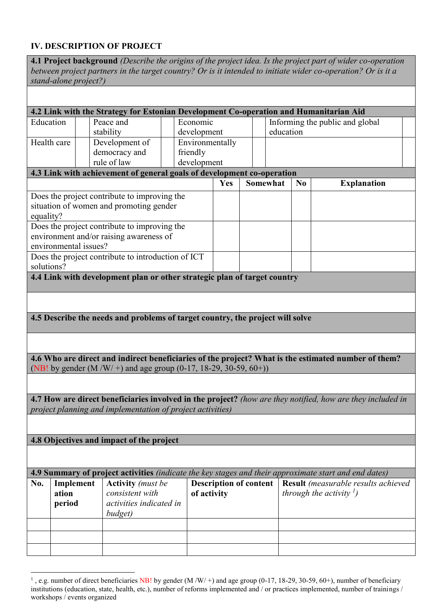### **IV. DESCRIPTION OF PROJECT**

| stand-alone project?)                                                                                            | between project partners in the target country? Or is it intended to initiate wider co-operation? Or is it a |                                            |     |  |                 |    | 4.1 Project background (Describe the origins of the project idea. Is the project part of wider co-operation |
|------------------------------------------------------------------------------------------------------------------|--------------------------------------------------------------------------------------------------------------|--------------------------------------------|-----|--|-----------------|----|-------------------------------------------------------------------------------------------------------------|
|                                                                                                                  | 4.2 Link with the Strategy for Estonian Development Co-operation and Humanitarian Aid                        |                                            |     |  |                 |    |                                                                                                             |
| Education                                                                                                        | Peace and<br>stability                                                                                       | Economic<br>development                    |     |  | education       |    | Informing the public and global                                                                             |
| Health care                                                                                                      | Development of<br>democracy and<br>rule of law                                                               | Environmentally<br>friendly<br>development |     |  |                 |    |                                                                                                             |
|                                                                                                                  | 4.3 Link with achievement of general goals of development co-operation                                       |                                            | Yes |  | <b>Somewhat</b> | No | <b>Explanation</b>                                                                                          |
| Does the project contribute to improving the<br>situation of women and promoting gender<br>equality?             |                                                                                                              |                                            |     |  |                 |    |                                                                                                             |
| Does the project contribute to improving the<br>environment and/or raising awareness of<br>environmental issues? |                                                                                                              |                                            |     |  |                 |    |                                                                                                             |
| Does the project contribute to introduction of ICT<br>solutions?                                                 |                                                                                                              |                                            |     |  |                 |    |                                                                                                             |
|                                                                                                                  | 4.4 Link with development plan or other strategic plan of target country                                     |                                            |     |  |                 |    |                                                                                                             |
|                                                                                                                  |                                                                                                              |                                            |     |  |                 |    |                                                                                                             |
|                                                                                                                  | 4.5 Describe the needs and problems of target country, the project will solve                                |                                            |     |  |                 |    |                                                                                                             |

**4.6 Who are direct and indirect beneficiaries of the project? What is the estimated number of them?** (NB! by gender  $(M/W/+)$  and age group  $(0-17, 18-29, 30-59, 60+)$ )

**4.7 How are direct beneficiaries involved in the project?** *(how are they notified, how are they included in project planning and implementation of project activities)*

**4.8 Objectives and impact of the project**

|     | 4.9 Summary of project activities (indicate the key stages and their approximate start and end dates) |                                                                                   |                                       |                                                                                   |  |  |  |  |  |  |
|-----|-------------------------------------------------------------------------------------------------------|-----------------------------------------------------------------------------------|---------------------------------------|-----------------------------------------------------------------------------------|--|--|--|--|--|--|
| No. | Implement<br>ation<br>period                                                                          | <b>Activity</b> (must be<br>consistent with<br>activities indicated in<br>budget) | Description of content<br>of activity | <b>Result</b> (measurable results achieved<br>through the activity $\binom{l}{k}$ |  |  |  |  |  |  |
|     |                                                                                                       |                                                                                   |                                       |                                                                                   |  |  |  |  |  |  |
|     |                                                                                                       |                                                                                   |                                       |                                                                                   |  |  |  |  |  |  |
|     |                                                                                                       |                                                                                   |                                       |                                                                                   |  |  |  |  |  |  |

 $\overline{a}$ <sup>1</sup>, e.g. number of direct beneficiaries NB! by gender  $(M/W/+)$  and age group (0-17, 18-29, 30-59, 60+), number of beneficiary institutions (education, state, health, etc.), number of reforms implemented and / or practices implemented, number of trainings / workshops / events organized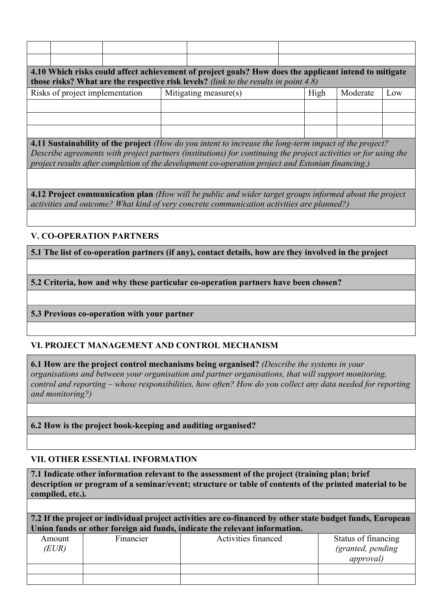| 4.10 Which risks could affect achievement of project goals? How does the applicant intend to mitigate<br>those risks? What are the respective risk levels? (link to the results in point 4.8) |                |                                |  |                       |  |                                                                   |              |     |
|-----------------------------------------------------------------------------------------------------------------------------------------------------------------------------------------------|----------------|--------------------------------|--|-----------------------|--|-------------------------------------------------------------------|--------------|-----|
| Risks of project implementation                                                                                                                                                               |                |                                |  | Mitigating measure(s) |  | High                                                              | Moderate     | Low |
|                                                                                                                                                                                               |                |                                |  |                       |  |                                                                   |              |     |
|                                                                                                                                                                                               |                |                                |  |                       |  |                                                                   |              |     |
| $\sim$ $\sim$                                                                                                                                                                                 | $\blacksquare$ | $\mathbf{r}$<br>$\mathbf{a}$ . |  |                       |  | $\mathbf{r}$ , $\mathbf{r}$ , and $\mathbf{r}$ , and $\mathbf{r}$ | $\mathbf{r}$ |     |

**4.11 Sustainability of the project** *(How do you intent to increase the long-term impact of the project? Describe agreements with project partners (institutions) for continuing the project activities or for using the project results after completion of the development co-operation project and Estonian financing.)*

**4.12 Project communication plan** *(How will be public and wider target groups informed about the project activities and outcome? What kind of very concrete communication activities are planned?)*

#### **V. CO-OPERATION PARTNERS**

**5.1 The list of co-operation partners (if any), contact details, how are they involved in the project**

**5.2 Criteria, how and why these particular co-operation partners have been chosen?**

#### **5.3 Previous co-operation with your partner**

# **VI. PROJECT MANAGEMENT AND CONTROL MECHANISM**

**6.1 How are the project control mechanisms being organised?** *(Describe the systems in your organisations and between your organisation and partner organisations, that will support monitoring, control and reporting – whose responsibilities, how often? How do you collect any data needed for reporting and monitoring?)*

**6.2 How is the project book-keeping and auditing organised?**

#### **VII. OTHER ESSENTIAL INFORMATION**

**7.1 Indicate other information relevant to the assessment of the project (training plan; brief description or program of a seminar/event; structure or table of contents of the printed material to be compiled, etc.).**

**7.2 If the project or individual project activities are co-financed by other state budget funds, European Union funds or other foreign aid funds, indicate the relevant information.**

| Amount<br>(EUR) | Financier | Activities financed | Status of financing<br>(granted, pending<br><i>approval</i> ) |
|-----------------|-----------|---------------------|---------------------------------------------------------------|
|                 |           |                     |                                                               |
|                 |           |                     |                                                               |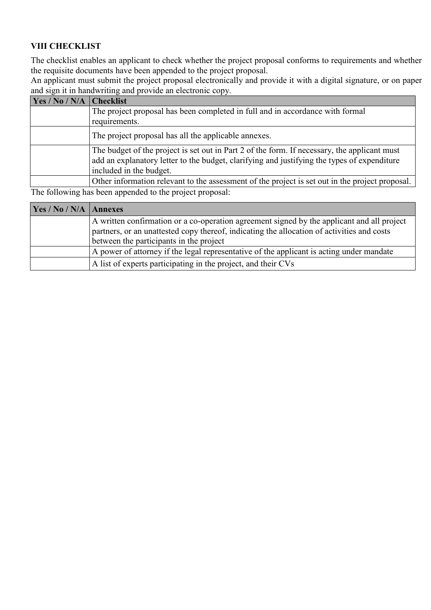# **VIII CHECKLIST**

The checklist enables an applicant to check whether the project proposal conforms to requirements and whether the requisite documents have been appended to the project proposal.

An applicant must submit the project proposal electronically and provide it with a digital signature, or on paper and sign it in handwriting and provide an electronic copy.

| Yes / No / N/A | <b>Checklist</b>                                                                                                                                                                            |
|----------------|---------------------------------------------------------------------------------------------------------------------------------------------------------------------------------------------|
|                | The project proposal has been completed in full and in accordance with formal                                                                                                               |
|                | requirements.                                                                                                                                                                               |
|                | The project proposal has all the applicable annexes.                                                                                                                                        |
|                | The budget of the project is set out in Part 2 of the form. If necessary, the applicant must<br>add an explanatory letter to the budget, clarifying and justifying the types of expenditure |
|                | included in the budget.                                                                                                                                                                     |
|                | Other information relevant to the assessment of the project is set out in the project proposal.                                                                                             |
|                | The following hos been enneared to the project proposal                                                                                                                                     |

The following has been appended to the project proposal:

| Yes / No / N/A   Annexes |                                                                                                                                                                                                                                     |
|--------------------------|-------------------------------------------------------------------------------------------------------------------------------------------------------------------------------------------------------------------------------------|
|                          | A written confirmation or a co-operation agreement signed by the applicant and all project<br>partners, or an unattested copy thereof, indicating the allocation of activities and costs<br>between the participants in the project |
|                          | A power of attorney if the legal representative of the applicant is acting under mandate                                                                                                                                            |
|                          | A list of experts participating in the project, and their CVs                                                                                                                                                                       |